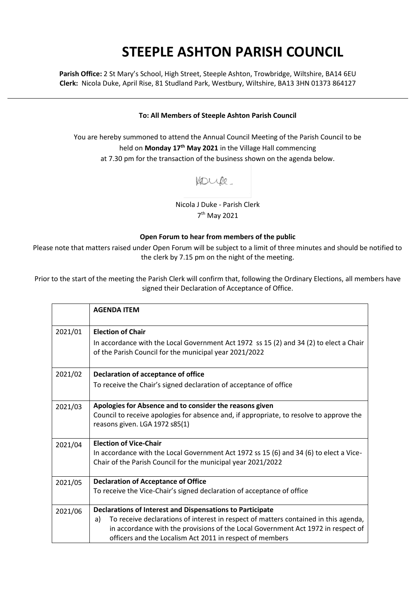## **STEEPLE ASHTON PARISH COUNCIL**

**Parish Office:** 2 St Mary's School, High Street, Steeple Ashton, Trowbridge, Wiltshire, BA14 6EU **Clerk:** Nicola Duke, April Rise, 81 Studland Park, Westbury, Wiltshire, BA13 3HN 01373 864127

## **To: All Members of Steeple Ashton Parish Council**

You are hereby summoned to attend the Annual Council Meeting of the Parish Council to be held on **Monday 17th May 2021** in the Village Hall commencing at 7.30 pm for the transaction of the business shown on the agenda below.

Koupe.

Nicola J Duke - Parish Clerk 7<sup>th</sup> May 2021

## **Open Forum to hear from members of the public**

Please note that matters raised under Open Forum will be subject to a limit of three minutes and should be notified to the clerk by 7.15 pm on the night of the meeting.

Prior to the start of the meeting the Parish Clerk will confirm that, following the Ordinary Elections, all members have signed their Declaration of Acceptance of Office.

|         | <b>AGENDA ITEM</b>                                                                                                                                     |
|---------|--------------------------------------------------------------------------------------------------------------------------------------------------------|
| 2021/01 | <b>Election of Chair</b><br>In accordance with the Local Government Act 1972 ss 15 (2) and 34 (2) to elect a Chair                                     |
|         | of the Parish Council for the municipal year 2021/2022                                                                                                 |
| 2021/02 | <b>Declaration of acceptance of office</b>                                                                                                             |
|         | To receive the Chair's signed declaration of acceptance of office                                                                                      |
| 2021/03 | Apologies for Absence and to consider the reasons given                                                                                                |
|         | Council to receive apologies for absence and, if appropriate, to resolve to approve the<br>reasons given. LGA 1972 s85(1)                              |
| 2021/04 | <b>Election of Vice-Chair</b>                                                                                                                          |
|         | In accordance with the Local Government Act 1972 ss 15 (6) and 34 (6) to elect a Vice-<br>Chair of the Parish Council for the municipal year 2021/2022 |
| 2021/05 | <b>Declaration of Acceptance of Office</b>                                                                                                             |
|         | To receive the Vice-Chair's signed declaration of acceptance of office                                                                                 |
| 2021/06 | <b>Declarations of Interest and Dispensations to Participate</b>                                                                                       |
|         | To receive declarations of interest in respect of matters contained in this agenda,<br>a)                                                              |
|         | in accordance with the provisions of the Local Government Act 1972 in respect of<br>officers and the Localism Act 2011 in respect of members           |